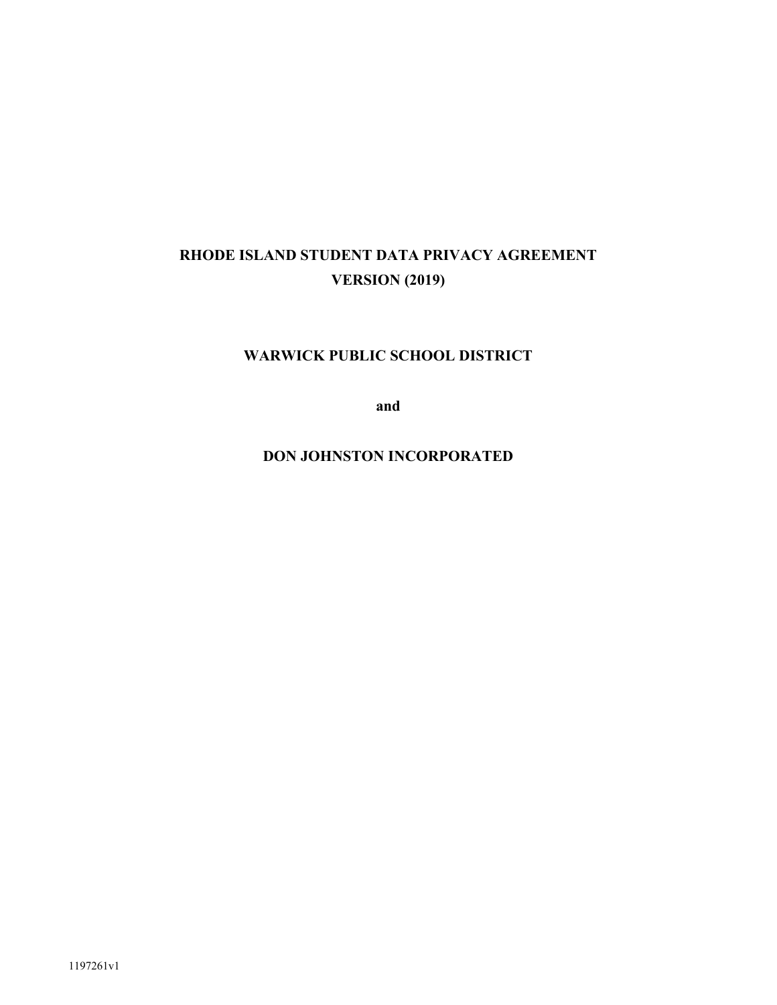# **RHODE ISLAND STUDENT DATA PRIVACY AGREEMENT VERSION (2019)**

# **WARWICK PUBLIC SCHOOL DISTRICT**

**and**

**DON JOHNSTON INCORPORATED**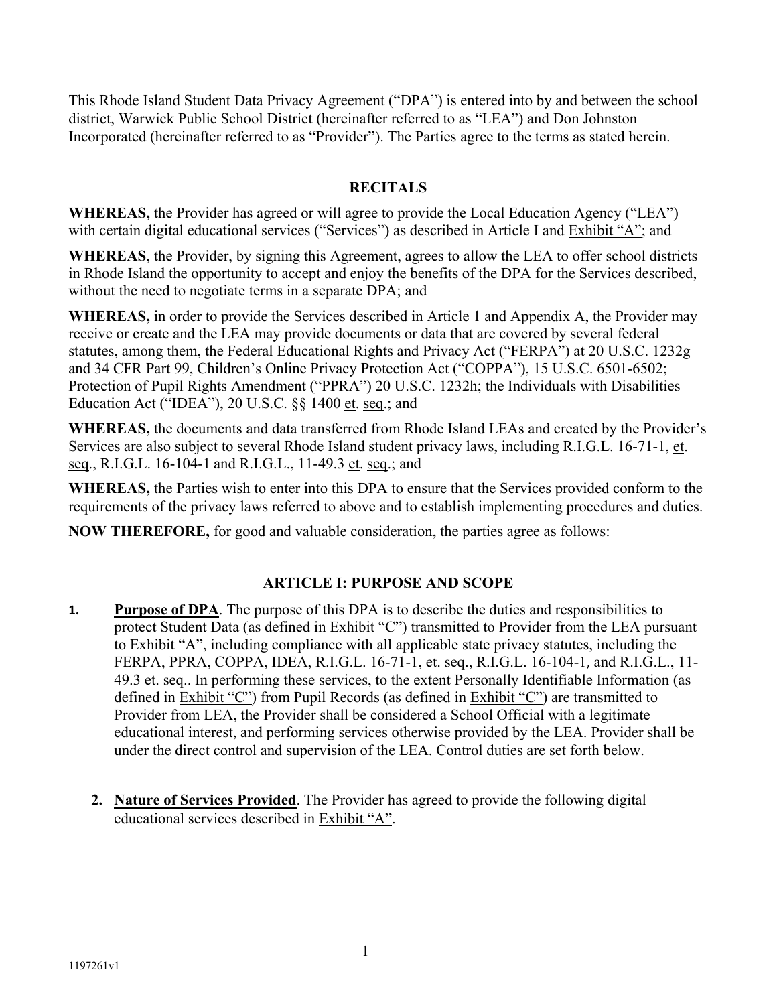This Rhode Island Student Data Privacy Agreement ("DPA") is entered into by and between the school district, Warwick Public School District (hereinafter referred to as "LEA") and Don Johnston Incorporated (hereinafter referred to as "Provider"). The Parties agree to the terms as stated herein.

# **RECITALS**

**WHEREAS,** the Provider has agreed or will agree to provide the Local Education Agency ("LEA") with certain digital educational services ("Services") as described in Article I and Exhibit "A"; and

**WHEREAS**, the Provider, by signing this Agreement, agrees to allow the LEA to offer school districts in Rhode Island the opportunity to accept and enjoy the benefits of the DPA for the Services described, without the need to negotiate terms in a separate DPA; and

**WHEREAS,** in order to provide the Services described in Article 1 and Appendix A, the Provider may receive or create and the LEA may provide documents or data that are covered by several federal statutes, among them, the Federal Educational Rights and Privacy Act ("FERPA") at 20 U.S.C. 1232g and 34 CFR Part 99, Children's Online Privacy Protection Act ("COPPA"), 15 U.S.C. 6501-6502; Protection of Pupil Rights Amendment ("PPRA") 20 U.S.C. 1232h; the Individuals with Disabilities Education Act ("IDEA"), 20 U.S.C. §§ 1400 et. seq.; and

**WHEREAS,** the documents and data transferred from Rhode Island LEAs and created by the Provider's Services are also subject to several Rhode Island student privacy laws, including R.I.G.L. 16-71-1, et. seq., R.I.G.L. 16-104-1 and R.I.G.L., 11-49.3 et. seq.; and

**WHEREAS,** the Parties wish to enter into this DPA to ensure that the Services provided conform to the requirements of the privacy laws referred to above and to establish implementing procedures and duties.

**NOW THEREFORE,** for good and valuable consideration, the parties agree as follows:

# **ARTICLE I: PURPOSE AND SCOPE**

- **1. Purpose of DPA**. The purpose of this DPA is to describe the duties and responsibilities to protect Student Data (as defined in Exhibit "C") transmitted to Provider from the LEA pursuant to Exhibit "A", including compliance with all applicable state privacy statutes, including the FERPA, PPRA, COPPA, IDEA, R.I.G.L. 16-71-1, et. seq., R.I.G.L. 16-104-1, and R.I.G.L., 11- 49.3 et. seq.. In performing these services, to the extent Personally Identifiable Information (as defined in Exhibit "C") from Pupil Records (as defined in Exhibit "C") are transmitted to Provider from LEA, the Provider shall be considered a School Official with a legitimate educational interest, and performing services otherwise provided by the LEA. Provider shall be under the direct control and supervision of the LEA. Control duties are set forth below.
	- **2. Nature of Services Provided**. The Provider has agreed to provide the following digital educational services described in Exhibit "A".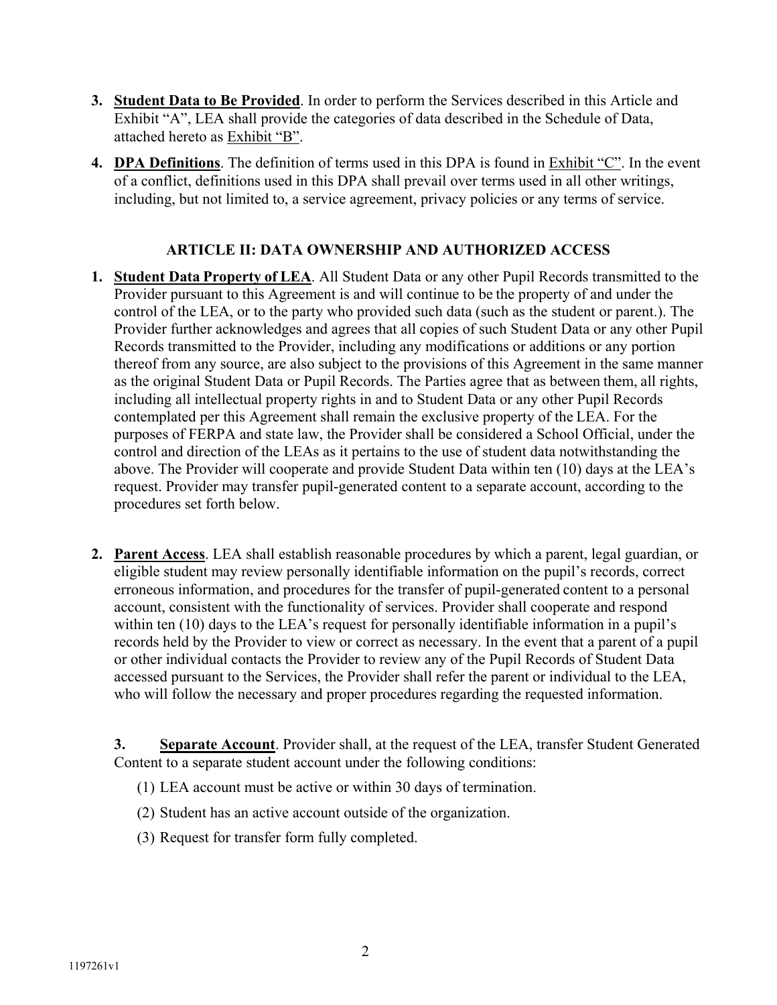- **3. Student Data to Be Provided**. In order to perform the Services described in this Article and Exhibit "A", LEA shall provide the categories of data described in the Schedule of Data, attached hereto as Exhibit "B".
- **4. DPA Definitions**. The definition of terms used in this DPA is found in Exhibit "C". In the event of a conflict, definitions used in this DPA shall prevail over terms used in all other writings, including, but not limited to, a service agreement, privacy policies or any terms of service.

# **ARTICLE II: DATA OWNERSHIP AND AUTHORIZED ACCESS**

- **1. Student Data Property of LEA**. All Student Data or any other Pupil Records transmitted to the Provider pursuant to this Agreement is and will continue to be the property of and under the control of the LEA, or to the party who provided such data (such as the student or parent.). The Provider further acknowledges and agrees that all copies of such Student Data or any other Pupil Records transmitted to the Provider, including any modifications or additions or any portion thereof from any source, are also subject to the provisions of this Agreement in the same manner as the original Student Data or Pupil Records. The Parties agree that as between them, all rights, including all intellectual property rights in and to Student Data or any other Pupil Records contemplated per this Agreement shall remain the exclusive property of the LEA. For the purposes of FERPA and state law, the Provider shall be considered a School Official, under the control and direction of the LEAs as it pertains to the use of student data notwithstanding the above. The Provider will cooperate and provide Student Data within ten (10) days at the LEA's request. Provider may transfer pupil-generated content to a separate account, according to the procedures set forth below.
- **2. Parent Access**. LEA shall establish reasonable procedures by which a parent, legal guardian, or eligible student may review personally identifiable information on the pupil's records, correct erroneous information, and procedures for the transfer of pupil-generated content to a personal account, consistent with the functionality of services. Provider shall cooperate and respond within ten (10) days to the LEA's request for personally identifiable information in a pupil's records held by the Provider to view or correct as necessary. In the event that a parent of a pupil or other individual contacts the Provider to review any of the Pupil Records of Student Data accessed pursuant to the Services, the Provider shall refer the parent or individual to the LEA, who will follow the necessary and proper procedures regarding the requested information.

**3.** Separate Account. Provider shall, at the request of the LEA, transfer Student Generated Content to a separate student account under the following conditions:

- (1) LEA account must be active or within 30 days of termination.
- (2) Student has an active account outside of the organization.
- (3) Request for transfer form fully completed.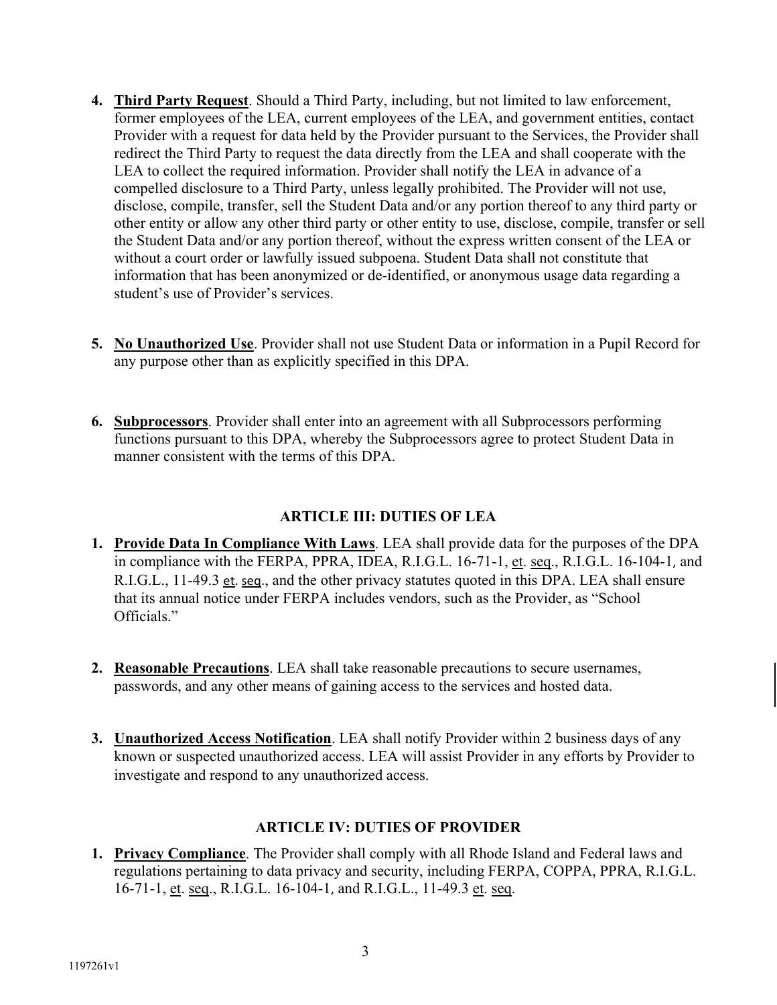- **4. Third Party Request**. Should a Third Party, including, but not limited to law enforcement, former employees of the LEA, current employees of the LEA, and government entities, contact Provider with a request for data held by the Provider pursuant to the Services, the Provider shall redirect the Third Party to request the data directly from the LEA and shall cooperate with the LEA to collect the required information. Provider shall notify the LEA in advance of a compelled disclosure to a Third Party, unless legally prohibited. The Provider will not use, disclose, compile, transfer, sell the Student Data and/or any portion thereof to any third party or other entity or allow any other third party or other entity to use, disclose, compile, transfer or sell the Student Data and/or any portion thereof, without the express written consent of the LEA or without a court order or lawfully issued subpoena. Student Data shall not constitute that information that has been anonymized or de-identified, or anonymous usage data regarding a student's use of Provider's services.
- **5. No Unauthorized Use**. Provider shall not use Student Data or information in a Pupil Record for any purpose other than as explicitly specified in this DPA.
- **6. Subprocessors**. Provider shall enter into an agreement with all Subprocessors performing functions pursuant to this DPA, whereby the Subprocessors agree to protect Student Data in manner consistent with the terms of this DPA.

# **ARTICLE III: DUTIES OF LEA**

- **1. Provide Data In Compliance With Laws**. LEA shall provide data for the purposes of the DPA in compliance with the FERPA, PPRA, IDEA, R.I.G.L. 16-71-1, et. seq., R.I.G.L. 16-104-1, and R.I.G.L., 11-49.3 et. seq., and the other privacy statutes quoted in this DPA. LEA shall ensure that its annual notice under FERPA includes vendors, such as the Provider, as "School Officials."
- **2. Reasonable Precautions**. LEA shall take reasonable precautions to secure usernames, passwords, and any other means of gaining access to the services and hosted data.
- **3. Unauthorized Access Notification**. LEA shall notify Provider within 2 business days of any known or suspected unauthorized access. LEA will assist Provider in any efforts by Provider to investigate and respond to any unauthorized access.

# **ARTICLE IV: DUTIES OF PROVIDER**

**1. Privacy Compliance**. The Provider shall comply with all Rhode Island and Federal laws and regulations pertaining to data privacy and security, including FERPA, COPPA, PPRA, R.I.G.L. 16-71-1, et. seq., R.I.G.L. 16-104-1, and R.I.G.L., 11-49.3 et. seq.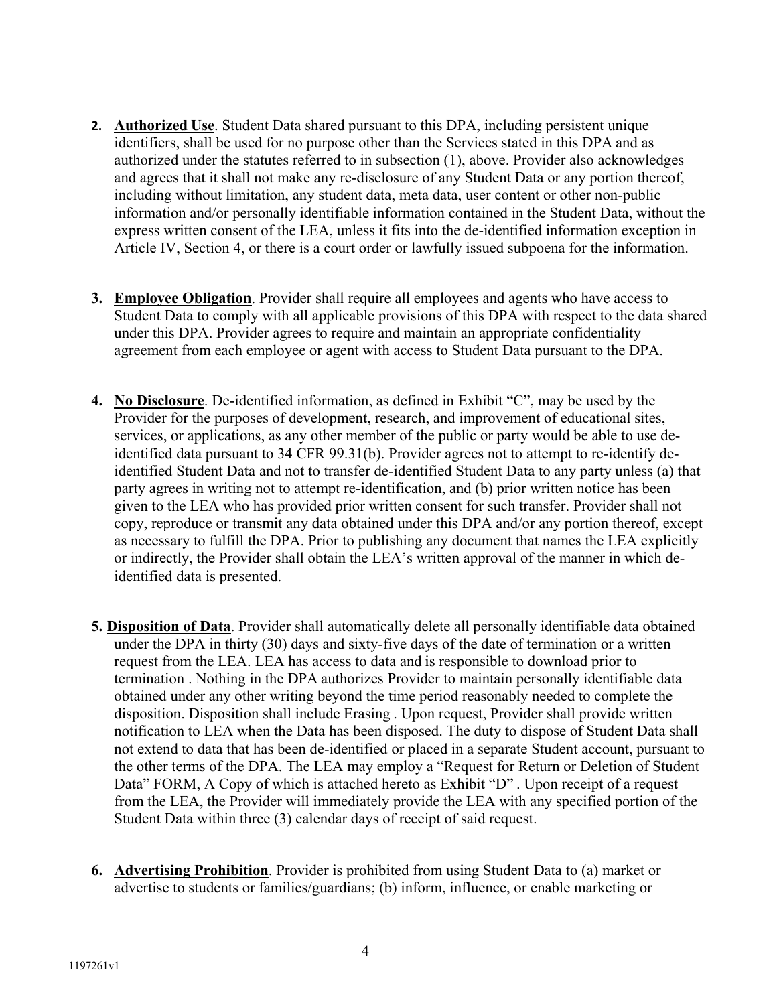- **2. Authorized Use**. Student Data shared pursuant to this DPA, including persistent unique identifiers, shall be used for no purpose other than the Services stated in this DPA and as authorized under the statutes referred to in subsection (1), above. Provider also acknowledges and agrees that it shall not make any re-disclosure of any Student Data or any portion thereof, including without limitation, any student data, meta data, user content or other non-public information and/or personally identifiable information contained in the Student Data, without the express written consent of the LEA, unless it fits into the de-identified information exception in Article IV, Section 4, or there is a court order or lawfully issued subpoena for the information.
- **3. Employee Obligation**. Provider shall require all employees and agents who have access to Student Data to comply with all applicable provisions of this DPA with respect to the data shared under this DPA. Provider agrees to require and maintain an appropriate confidentiality agreement from each employee or agent with access to Student Data pursuant to the DPA.
- **4. No Disclosure**. De-identified information, as defined in Exhibit "C", may be used by the Provider for the purposes of development, research, and improvement of educational sites, services, or applications, as any other member of the public or party would be able to use deidentified data pursuant to 34 CFR 99.31(b). Provider agrees not to attempt to re-identify deidentified Student Data and not to transfer de-identified Student Data to any party unless (a) that party agrees in writing not to attempt re-identification, and (b) prior written notice has been given to the LEA who has provided prior written consent for such transfer. Provider shall not copy, reproduce or transmit any data obtained under this DPA and/or any portion thereof, except as necessary to fulfill the DPA. Prior to publishing any document that names the LEA explicitly or indirectly, the Provider shall obtain the LEA's written approval of the manner in which deidentified data is presented.
- **5. Disposition of Data**. Provider shall automatically delete all personally identifiable data obtained under the DPA in thirty (30) days and sixty-five days of the date of termination or a written request from the LEA. LEA has access to data and is responsible to download prior to termination . Nothing in the DPA authorizes Provider to maintain personally identifiable data obtained under any other writing beyond the time period reasonably needed to complete the disposition. Disposition shall include Erasing . Upon request, Provider shall provide written notification to LEA when the Data has been disposed. The duty to dispose of Student Data shall not extend to data that has been de-identified or placed in a separate Student account, pursuant to the other terms of the DPA. The LEA may employ a "Request for Return or Deletion of Student Data" FORM, A Copy of which is attached hereto as **Exhibit "D"**. Upon receipt of a request from the LEA, the Provider will immediately provide the LEA with any specified portion of the Student Data within three (3) calendar days of receipt of said request.
- **6. Advertising Prohibition**. Provider is prohibited from using Student Data to (a) market or advertise to students or families/guardians; (b) inform, influence, or enable marketing or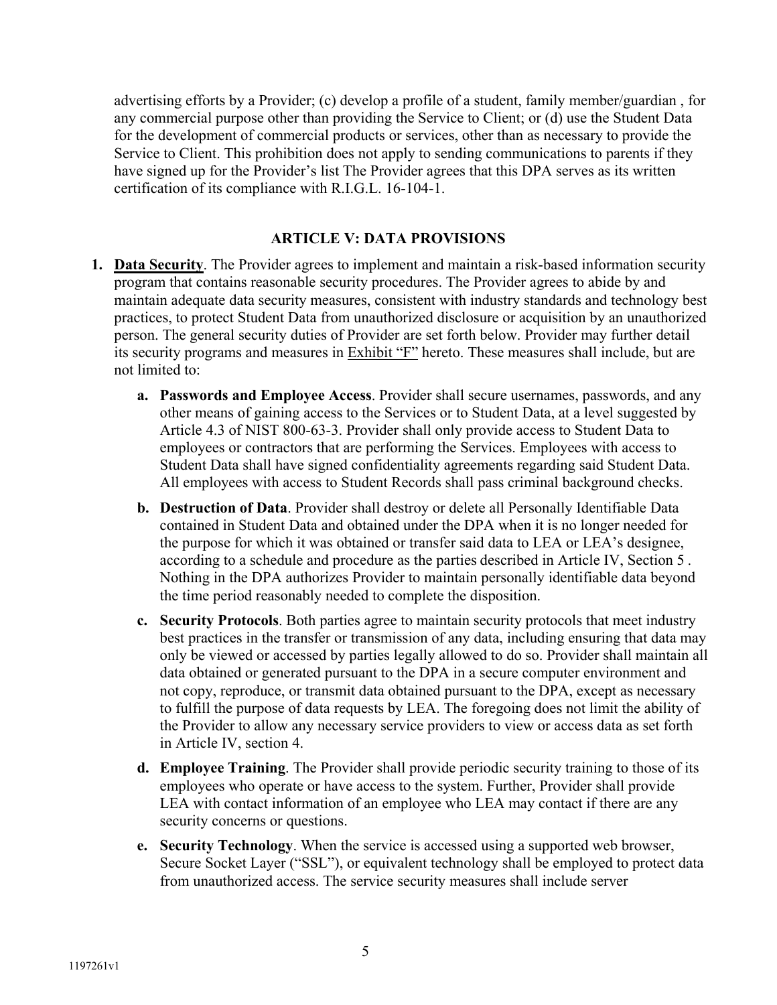advertising efforts by a Provider; (c) develop a profile of a student, family member/guardian , for any commercial purpose other than providing the Service to Client; or (d) use the Student Data for the development of commercial products or services, other than as necessary to provide the Service to Client. This prohibition does not apply to sending communications to parents if they have signed up for the Provider's list The Provider agrees that this DPA serves as its written certification of its compliance with R.I.G.L. 16-104-1.

### **ARTICLE V: DATA PROVISIONS**

- **1. Data Security**. The Provider agrees to implement and maintain a risk-based information security program that contains reasonable security procedures. The Provider agrees to abide by and maintain adequate data security measures, consistent with industry standards and technology best practices, to protect Student Data from unauthorized disclosure or acquisition by an unauthorized person. The general security duties of Provider are set forth below. Provider may further detail its security programs and measures in Exhibit "F" hereto. These measures shall include, but are not limited to:
	- **a. Passwords and Employee Access**. Provider shall secure usernames, passwords, and any other means of gaining access to the Services or to Student Data, at a level suggested by Article 4.3 of NIST 800-63-3. Provider shall only provide access to Student Data to employees or contractors that are performing the Services. Employees with access to Student Data shall have signed confidentiality agreements regarding said Student Data. All employees with access to Student Records shall pass criminal background checks.
	- **b. Destruction of Data**. Provider shall destroy or delete all Personally Identifiable Data contained in Student Data and obtained under the DPA when it is no longer needed for the purpose for which it was obtained or transfer said data to LEA or LEA's designee, according to a schedule and procedure as the parties described in Article IV, Section 5 . Nothing in the DPA authorizes Provider to maintain personally identifiable data beyond the time period reasonably needed to complete the disposition.
	- **c. Security Protocols**. Both parties agree to maintain security protocols that meet industry best practices in the transfer or transmission of any data, including ensuring that data may only be viewed or accessed by parties legally allowed to do so. Provider shall maintain all data obtained or generated pursuant to the DPA in a secure computer environment and not copy, reproduce, or transmit data obtained pursuant to the DPA, except as necessary to fulfill the purpose of data requests by LEA. The foregoing does not limit the ability of the Provider to allow any necessary service providers to view or access data as set forth in Article IV, section 4.
	- **d. Employee Training**. The Provider shall provide periodic security training to those of its employees who operate or have access to the system. Further, Provider shall provide LEA with contact information of an employee who LEA may contact if there are any security concerns or questions.
	- **e. Security Technology**. When the service is accessed using a supported web browser, Secure Socket Layer ("SSL"), or equivalent technology shall be employed to protect data from unauthorized access. The service security measures shall include server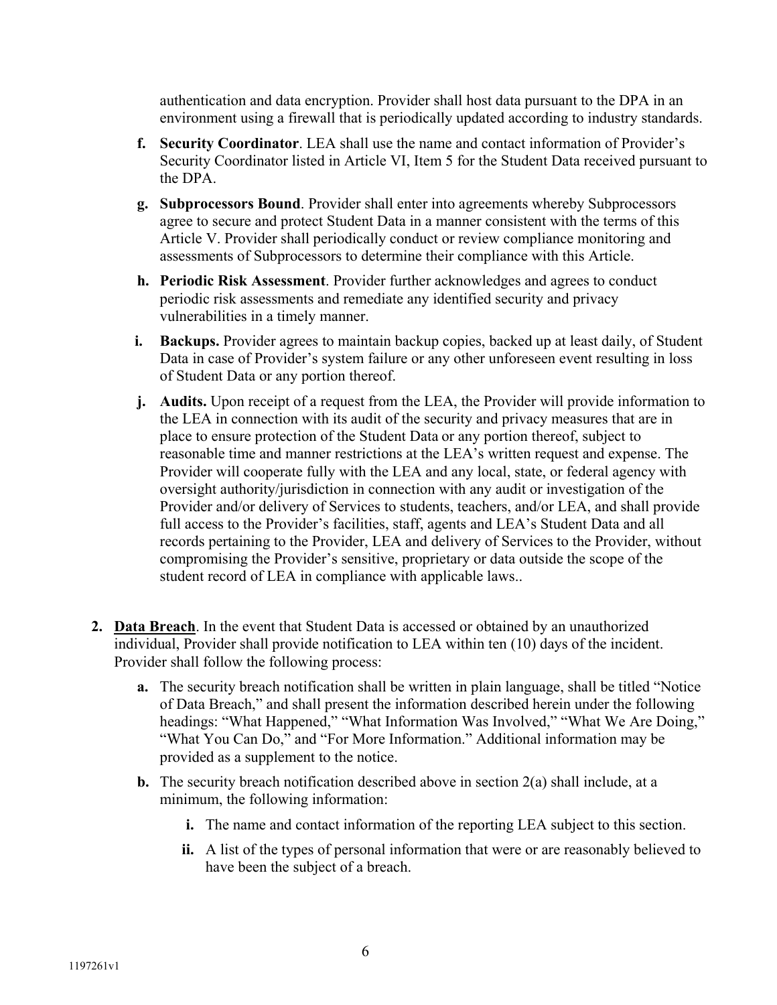authentication and data encryption. Provider shall host data pursuant to the DPA in an environment using a firewall that is periodically updated according to industry standards.

- **f. Security Coordinator**. LEA shall use the name and contact information of Provider's Security Coordinator listed in Article VI, Item 5 for the Student Data received pursuant to the DPA.
- **g. Subprocessors Bound**. Provider shall enter into agreements whereby Subprocessors agree to secure and protect Student Data in a manner consistent with the terms of this Article V. Provider shall periodically conduct or review compliance monitoring and assessments of Subprocessors to determine their compliance with this Article.
- **h. Periodic Risk Assessment**. Provider further acknowledges and agrees to conduct periodic risk assessments and remediate any identified security and privacy vulnerabilities in a timely manner.
- **i.** Backups. Provider agrees to maintain backup copies, backed up at least daily, of Student Data in case of Provider's system failure or any other unforeseen event resulting in loss of Student Data or any portion thereof.
- **j. Audits.** Upon receipt of a request from the LEA, the Provider will provide information to the LEA in connection with its audit of the security and privacy measures that are in place to ensure protection of the Student Data or any portion thereof, subject to reasonable time and manner restrictions at the LEA's written request and expense. The Provider will cooperate fully with the LEA and any local, state, or federal agency with oversight authority/jurisdiction in connection with any audit or investigation of the Provider and/or delivery of Services to students, teachers, and/or LEA, and shall provide full access to the Provider's facilities, staff, agents and LEA's Student Data and all records pertaining to the Provider, LEA and delivery of Services to the Provider, without compromising the Provider's sensitive, proprietary or data outside the scope of the student record of LEA in compliance with applicable laws..
- **2. Data Breach**. In the event that Student Data is accessed or obtained by an unauthorized individual, Provider shall provide notification to LEA within ten (10) days of the incident. Provider shall follow the following process:
	- **a.** The security breach notification shall be written in plain language, shall be titled "Notice of Data Breach," and shall present the information described herein under the following headings: "What Happened," "What Information Was Involved," "What We Are Doing," "What You Can Do," and "For More Information." Additional information may be provided as a supplement to the notice.
	- **b.** The security breach notification described above in section 2(a) shall include, at a minimum, the following information:
		- **i.** The name and contact information of the reporting LEA subject to this section.
		- **ii.** A list of the types of personal information that were or are reasonably believed to have been the subject of a breach.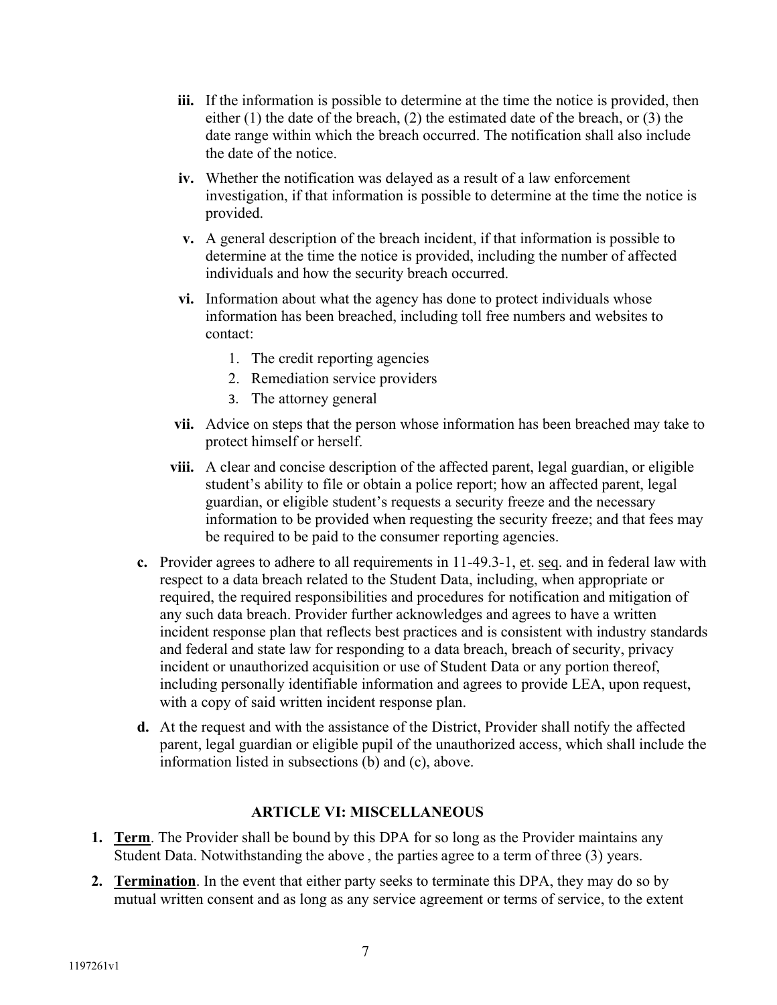- **iii.** If the information is possible to determine at the time the notice is provided, then either (1) the date of the breach, (2) the estimated date of the breach, or (3) the date range within which the breach occurred. The notification shall also include the date of the notice.
- **iv.** Whether the notification was delayed as a result of a law enforcement investigation, if that information is possible to determine at the time the notice is provided.
- **v.** A general description of the breach incident, if that information is possible to determine at the time the notice is provided, including the number of affected individuals and how the security breach occurred.
- **vi.** Information about what the agency has done to protect individuals whose information has been breached, including toll free numbers and websites to contact:
	- 1. The credit reporting agencies
	- 2. Remediation service providers
	- 3. The attorney general
- **vii.** Advice on steps that the person whose information has been breached may take to protect himself or herself.
- **viii.** A clear and concise description of the affected parent, legal guardian, or eligible student's ability to file or obtain a police report; how an affected parent, legal guardian, or eligible student's requests a security freeze and the necessary information to be provided when requesting the security freeze; and that fees may be required to be paid to the consumer reporting agencies.
- **c.** Provider agrees to adhere to all requirements in 11-49.3-1, et. seq. and in federal law with respect to a data breach related to the Student Data, including, when appropriate or required, the required responsibilities and procedures for notification and mitigation of any such data breach. Provider further acknowledges and agrees to have a written incident response plan that reflects best practices and is consistent with industry standards and federal and state law for responding to a data breach, breach of security, privacy incident or unauthorized acquisition or use of Student Data or any portion thereof, including personally identifiable information and agrees to provide LEA, upon request, with a copy of said written incident response plan.
- **d.** At the request and with the assistance of the District, Provider shall notify the affected parent, legal guardian or eligible pupil of the unauthorized access, which shall include the information listed in subsections (b) and (c), above.

#### **ARTICLE VI: MISCELLANEOUS**

- **1. Term**. The Provider shall be bound by this DPA for so long as the Provider maintains any Student Data. Notwithstanding the above , the parties agree to a term of three (3) years.
- **2. Termination**. In the event that either party seeks to terminate this DPA, they may do so by mutual written consent and as long as any service agreement or terms of service, to the extent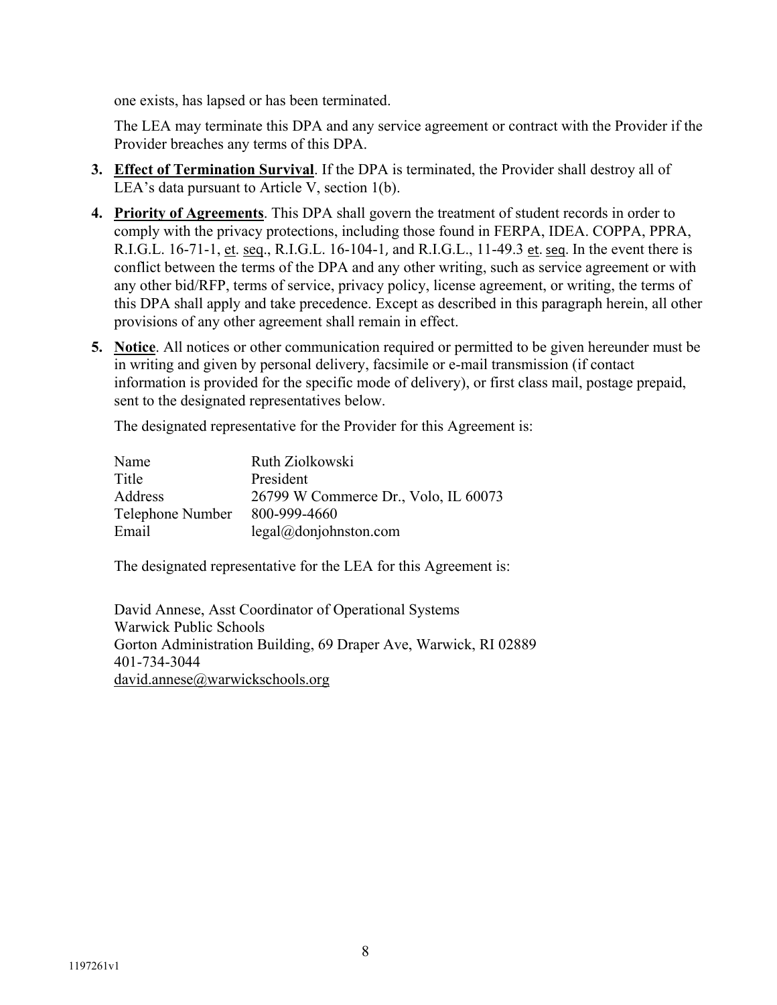one exists, has lapsed or has been terminated.

The LEA may terminate this DPA and any service agreement or contract with the Provider if the Provider breaches any terms of this DPA.

- **3. Effect of Termination Survival**. If the DPA is terminated, the Provider shall destroy all of LEA's data pursuant to Article V, section 1(b).
- **4. Priority of Agreements**. This DPA shall govern the treatment of student records in order to comply with the privacy protections, including those found in FERPA, IDEA. COPPA, PPRA, R.I.G.L. 16-71-1, et. seq., R.I.G.L. 16-104-1, and R.I.G.L., 11-49.3 et. seq. In the event there is conflict between the terms of the DPA and any other writing, such as service agreement or with any other bid/RFP, terms of service, privacy policy, license agreement, or writing, the terms of this DPA shall apply and take precedence. Except as described in this paragraph herein, all other provisions of any other agreement shall remain in effect.
- **5. Notice**. All notices or other communication required or permitted to be given hereunder must be in writing and given by personal delivery, facsimile or e-mail transmission (if contact information is provided for the specific mode of delivery), or first class mail, postage prepaid, sent to the designated representatives below.

The designated representative for the Provider for this Agreement is:

| Name             | Ruth Ziolkowski                      |
|------------------|--------------------------------------|
| Title            | President                            |
| Address          | 26799 W Commerce Dr., Volo, IL 60073 |
| Telephone Number | 800-999-4660                         |
| Email            | legal@domjohnston.com                |

The designated representative for the LEA for this Agreement is:

David Annese, Asst Coordinator of Operational Systems Warwick Public Schools Gorton Administration Building, 69 Draper Ave, Warwick, RI 02889 401-734-3044 david.annese@warwickschools.org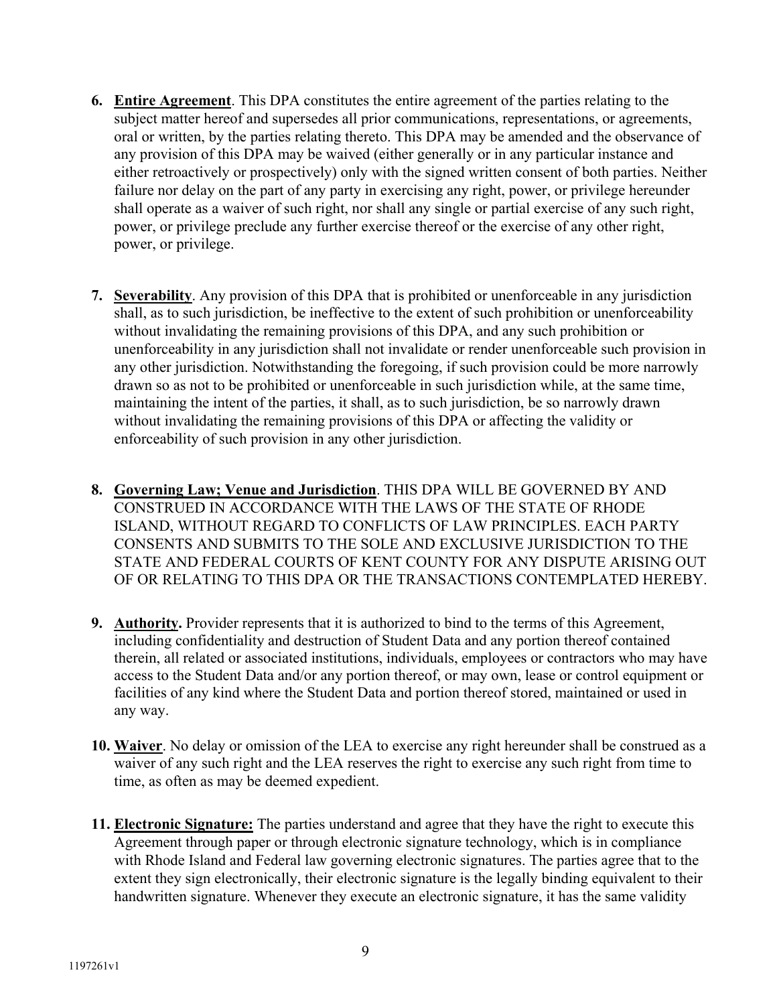- **6. Entire Agreement**. This DPA constitutes the entire agreement of the parties relating to the subject matter hereof and supersedes all prior communications, representations, or agreements, oral or written, by the parties relating thereto. This DPA may be amended and the observance of any provision of this DPA may be waived (either generally or in any particular instance and either retroactively or prospectively) only with the signed written consent of both parties. Neither failure nor delay on the part of any party in exercising any right, power, or privilege hereunder shall operate as a waiver of such right, nor shall any single or partial exercise of any such right, power, or privilege preclude any further exercise thereof or the exercise of any other right, power, or privilege.
- **7. Severability**. Any provision of this DPA that is prohibited or unenforceable in any jurisdiction shall, as to such jurisdiction, be ineffective to the extent of such prohibition or unenforceability without invalidating the remaining provisions of this DPA, and any such prohibition or unenforceability in any jurisdiction shall not invalidate or render unenforceable such provision in any other jurisdiction. Notwithstanding the foregoing, if such provision could be more narrowly drawn so as not to be prohibited or unenforceable in such jurisdiction while, at the same time, maintaining the intent of the parties, it shall, as to such jurisdiction, be so narrowly drawn without invalidating the remaining provisions of this DPA or affecting the validity or enforceability of such provision in any other jurisdiction.
- **8. Governing Law; Venue and Jurisdiction**. THIS DPA WILL BE GOVERNED BY AND CONSTRUED IN ACCORDANCE WITH THE LAWS OF THE STATE OF RHODE ISLAND, WITHOUT REGARD TO CONFLICTS OF LAW PRINCIPLES. EACH PARTY CONSENTS AND SUBMITS TO THE SOLE AND EXCLUSIVE JURISDICTION TO THE STATE AND FEDERAL COURTS OF KENT COUNTY FOR ANY DISPUTE ARISING OUT OF OR RELATING TO THIS DPA OR THE TRANSACTIONS CONTEMPLATED HEREBY.
- **9. Authority.** Provider represents that it is authorized to bind to the terms of this Agreement, including confidentiality and destruction of Student Data and any portion thereof contained therein, all related or associated institutions, individuals, employees or contractors who may have access to the Student Data and/or any portion thereof, or may own, lease or control equipment or facilities of any kind where the Student Data and portion thereof stored, maintained or used in any way.
- **10. Waiver**. No delay or omission of the LEA to exercise any right hereunder shall be construed as a waiver of any such right and the LEA reserves the right to exercise any such right from time to time, as often as may be deemed expedient.
- **11. Electronic Signature:** The parties understand and agree that they have the right to execute this Agreement through paper or through electronic signature technology, which is in compliance with Rhode Island and Federal law governing electronic signatures. The parties agree that to the extent they sign electronically, their electronic signature is the legally binding equivalent to their handwritten signature. Whenever they execute an electronic signature, it has the same validity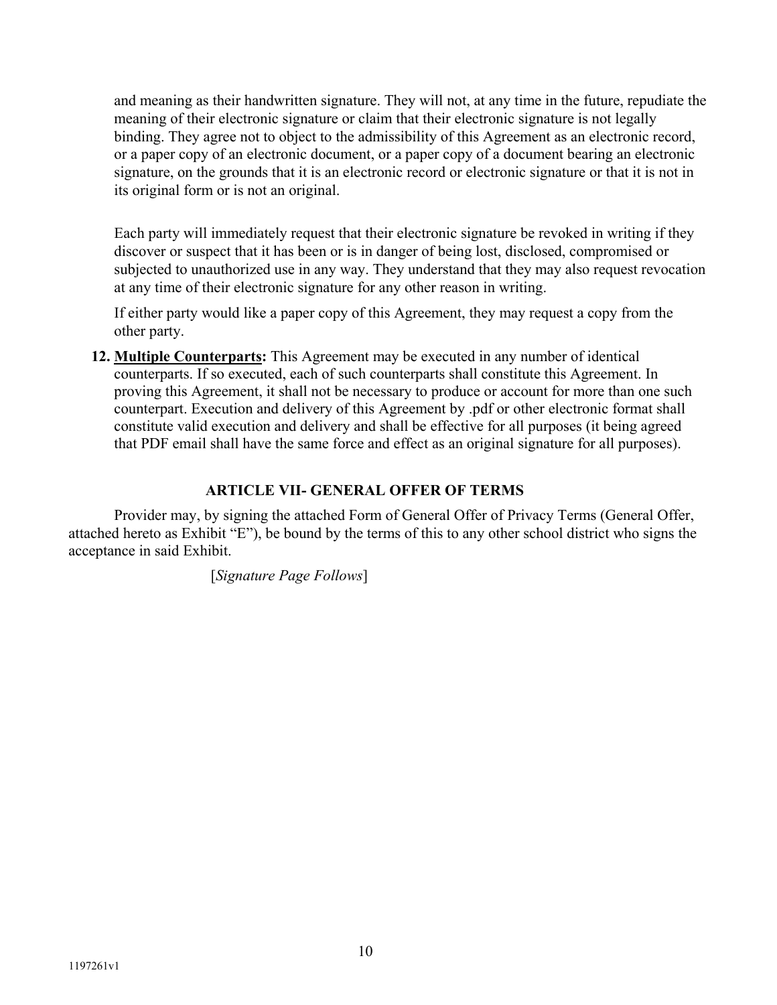and meaning as their handwritten signature. They will not, at any time in the future, repudiate the meaning of their electronic signature or claim that their electronic signature is not legally binding. They agree not to object to the admissibility of this Agreement as an electronic record, or a paper copy of an electronic document, or a paper copy of a document bearing an electronic signature, on the grounds that it is an electronic record or electronic signature or that it is not in its original form or is not an original.

Each party will immediately request that their electronic signature be revoked in writing if they discover or suspect that it has been or is in danger of being lost, disclosed, compromised or subjected to unauthorized use in any way. They understand that they may also request revocation at any time of their electronic signature for any other reason in writing.

If either party would like a paper copy of this Agreement, they may request a copy from the other party.

**12. Multiple Counterparts:** This Agreement may be executed in any number of identical counterparts. If so executed, each of such counterparts shall constitute this Agreement. In proving this Agreement, it shall not be necessary to produce or account for more than one such counterpart. Execution and delivery of this Agreement by .pdf or other electronic format shall constitute valid execution and delivery and shall be effective for all purposes (it being agreed that PDF email shall have the same force and effect as an original signature for all purposes).

# **ARTICLE VII- GENERAL OFFER OF TERMS**

 Provider may, by signing the attached Form of General Offer of Privacy Terms (General Offer, attached hereto as Exhibit "E"), be bound by the terms of this to any other school district who signs the acceptance in said Exhibit.

[*Signature Page Follows*]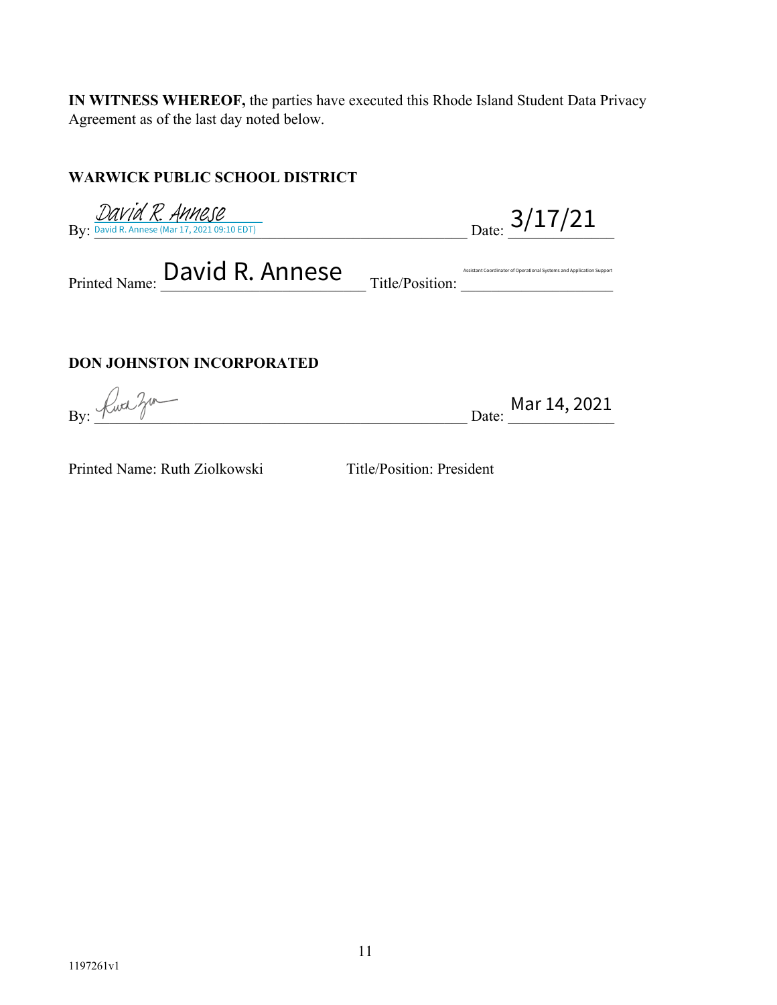**IN WITNESS WHEREOF,** the parties have executed this Rhode Island Student Data Privacy Agreement as of the last day noted below.

# **WARWICK PUBLIC SCHOOL DISTRICT**

By: David R. Annese (Mar 17, 2021 09:10 EDT)  $\qquad \qquad \qquad \qquad$  Date:  $\qquad \qquad$  Date:  $\qquad \qquad$ 

Printed Name: David R. Annes Title/Position: Allen Coordinator of Operational Systems and Application Support  $\frac{DAVid \text{ R. } A$ MCJC David R. Annese (Mar 17, 2021 09:10 EDT)<br>
Leed Name: David R. Annes (Mar 17, 2021 09:10 EDT)<br>
Leed Name: David R. Annes Title/Position: Annes Coordinator of Operational Systems and Application Support

# **DON JOHNSTON INCORPORATED**

 $B_y: \frac{1}{2}$  Mar 14, 2021

Printed Name: Ruth Ziolkowski Title/Position: President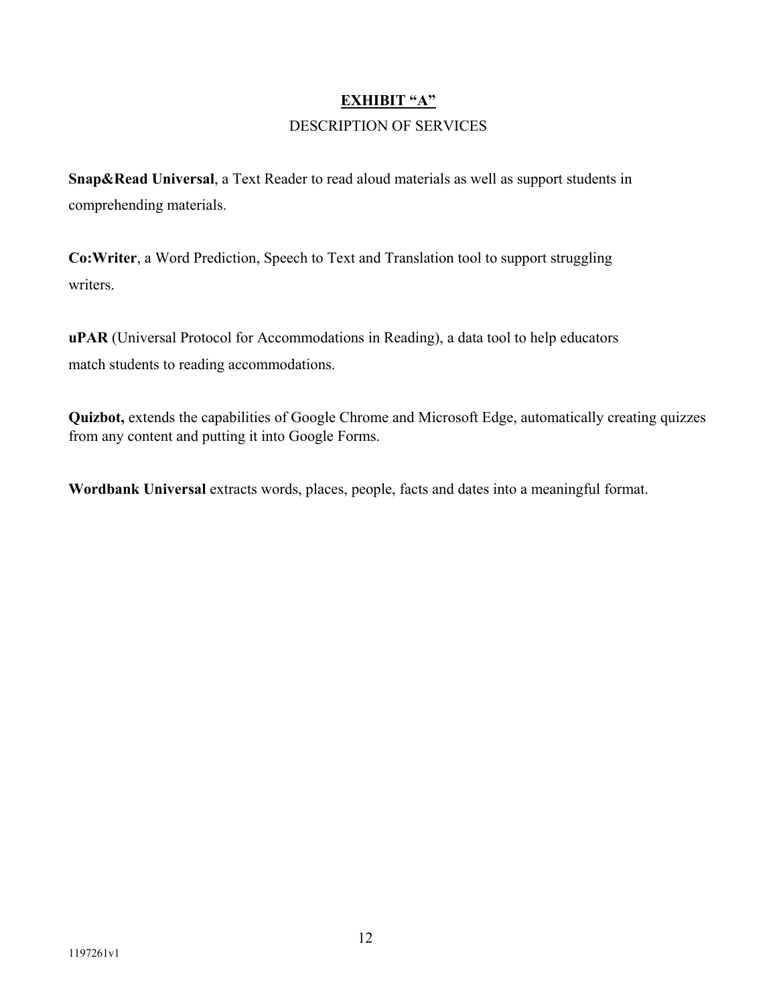# **EXHIBIT "A"** DESCRIPTION OF SERVICES

**Snap&Read Universal**, a Text Reader to read aloud materials as well as support students in comprehending materials.

**Co:Writer**, a Word Prediction, Speech to Text and Translation tool to support struggling writers.

**uPAR** (Universal Protocol for Accommodations in Reading), a data tool to help educators match students to reading accommodations.

**Quizbot,** extends the capabilities of Google Chrome and Microsoft Edge, automatically creating quizzes from any content and putting it into Google Forms.

**Wordbank Universal** extracts words, places, people, facts and dates into a meaningful format.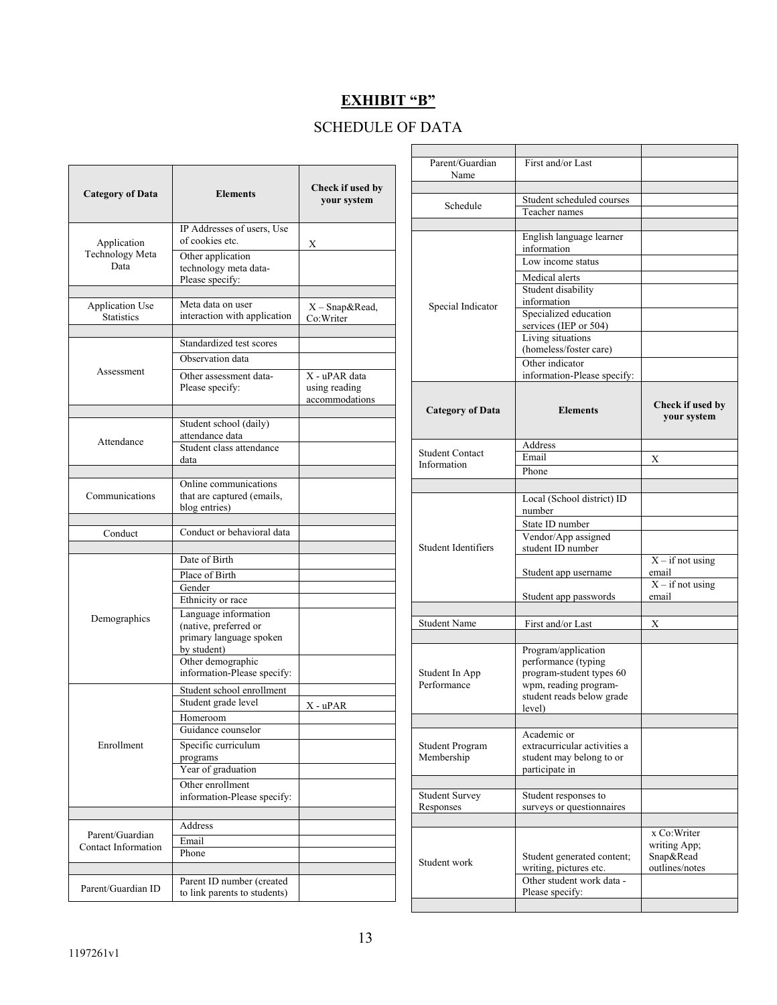# **EXHIBIT "B"**

# SCHEDULE OF DATA

| <b>Category of Data</b><br>IP Addresses of users, Use<br>of cookies etc.<br>Application<br>Technology Meta<br>Other application<br>Data<br>technology meta data-<br>Please specify:<br>Meta data on user<br><b>Application Use</b><br>interaction with application<br><b>Statistics</b><br>Standardized test scores<br>Observation data<br>Assessment<br>Other assessment data-<br>Please specify:<br>Student school (daily)<br>attendance data<br>Attendance<br>Student class attendance<br>data<br>Online communications<br>Communications<br>that are captured (emails,<br>blog entries)<br>Conduct or behavioral data<br>Conduct<br>Date of Birth<br>Place of Birth<br>Gender<br>Ethnicity or race<br>Language information<br>Demographics<br>(native, preferred or<br>primary language spoken<br>by student)<br>Other demographic<br>information-Please specify:<br>Student school enrollment<br>Student grade level<br>Homeroom<br>Guidance counselor<br>Specific curriculum<br>Enrollment<br>programs<br>Year of graduation<br>Other enrollment<br>information-Please specify:<br>Address<br>Parent/Guardian |                 |                                 | Parent/Guardian<br>Name              | First and/or Last                                                       |                                          |
|---------------------------------------------------------------------------------------------------------------------------------------------------------------------------------------------------------------------------------------------------------------------------------------------------------------------------------------------------------------------------------------------------------------------------------------------------------------------------------------------------------------------------------------------------------------------------------------------------------------------------------------------------------------------------------------------------------------------------------------------------------------------------------------------------------------------------------------------------------------------------------------------------------------------------------------------------------------------------------------------------------------------------------------------------------------------------------------------------------------------|-----------------|---------------------------------|--------------------------------------|-------------------------------------------------------------------------|------------------------------------------|
|                                                                                                                                                                                                                                                                                                                                                                                                                                                                                                                                                                                                                                                                                                                                                                                                                                                                                                                                                                                                                                                                                                                     | <b>Elements</b> | Check if used by<br>your system | Schedule                             | Student scheduled courses<br>Teacher names                              |                                          |
|                                                                                                                                                                                                                                                                                                                                                                                                                                                                                                                                                                                                                                                                                                                                                                                                                                                                                                                                                                                                                                                                                                                     |                 |                                 |                                      | English language learner                                                |                                          |
|                                                                                                                                                                                                                                                                                                                                                                                                                                                                                                                                                                                                                                                                                                                                                                                                                                                                                                                                                                                                                                                                                                                     |                 | Х                               |                                      | information<br>Low income status                                        |                                          |
|                                                                                                                                                                                                                                                                                                                                                                                                                                                                                                                                                                                                                                                                                                                                                                                                                                                                                                                                                                                                                                                                                                                     |                 |                                 |                                      | Medical alerts<br>Student disability                                    |                                          |
|                                                                                                                                                                                                                                                                                                                                                                                                                                                                                                                                                                                                                                                                                                                                                                                                                                                                                                                                                                                                                                                                                                                     |                 | $X$ – Snap&Read,<br>Co:Writer   | Special Indicator                    | information<br>Specialized education<br>services (IEP or 504)           |                                          |
|                                                                                                                                                                                                                                                                                                                                                                                                                                                                                                                                                                                                                                                                                                                                                                                                                                                                                                                                                                                                                                                                                                                     |                 |                                 |                                      | Living situations<br>(homeless/foster care)                             |                                          |
|                                                                                                                                                                                                                                                                                                                                                                                                                                                                                                                                                                                                                                                                                                                                                                                                                                                                                                                                                                                                                                                                                                                     |                 | X - uPAR data                   |                                      | Other indicator<br>information-Please specify:                          |                                          |
|                                                                                                                                                                                                                                                                                                                                                                                                                                                                                                                                                                                                                                                                                                                                                                                                                                                                                                                                                                                                                                                                                                                     |                 | using reading<br>accommodations |                                      |                                                                         | Check if used by                         |
|                                                                                                                                                                                                                                                                                                                                                                                                                                                                                                                                                                                                                                                                                                                                                                                                                                                                                                                                                                                                                                                                                                                     |                 |                                 | <b>Category of Data</b>              | <b>Elements</b>                                                         | your system                              |
|                                                                                                                                                                                                                                                                                                                                                                                                                                                                                                                                                                                                                                                                                                                                                                                                                                                                                                                                                                                                                                                                                                                     |                 |                                 |                                      | Address                                                                 |                                          |
|                                                                                                                                                                                                                                                                                                                                                                                                                                                                                                                                                                                                                                                                                                                                                                                                                                                                                                                                                                                                                                                                                                                     |                 |                                 | <b>Student Contact</b>               | Email                                                                   | X                                        |
|                                                                                                                                                                                                                                                                                                                                                                                                                                                                                                                                                                                                                                                                                                                                                                                                                                                                                                                                                                                                                                                                                                                     |                 |                                 | Information                          | Phone                                                                   |                                          |
|                                                                                                                                                                                                                                                                                                                                                                                                                                                                                                                                                                                                                                                                                                                                                                                                                                                                                                                                                                                                                                                                                                                     |                 |                                 |                                      | Local (School district) ID                                              |                                          |
|                                                                                                                                                                                                                                                                                                                                                                                                                                                                                                                                                                                                                                                                                                                                                                                                                                                                                                                                                                                                                                                                                                                     |                 |                                 |                                      | number                                                                  |                                          |
|                                                                                                                                                                                                                                                                                                                                                                                                                                                                                                                                                                                                                                                                                                                                                                                                                                                                                                                                                                                                                                                                                                                     |                 |                                 |                                      | State ID number                                                         |                                          |
|                                                                                                                                                                                                                                                                                                                                                                                                                                                                                                                                                                                                                                                                                                                                                                                                                                                                                                                                                                                                                                                                                                                     |                 |                                 | Student Identifiers                  | Vendor/App assigned<br>student ID number                                |                                          |
|                                                                                                                                                                                                                                                                                                                                                                                                                                                                                                                                                                                                                                                                                                                                                                                                                                                                                                                                                                                                                                                                                                                     |                 |                                 |                                      | Student app username                                                    | $X - if not using$<br>email              |
|                                                                                                                                                                                                                                                                                                                                                                                                                                                                                                                                                                                                                                                                                                                                                                                                                                                                                                                                                                                                                                                                                                                     |                 |                                 |                                      | Student app passwords                                                   | $\overline{X}$ - if not using<br>email   |
|                                                                                                                                                                                                                                                                                                                                                                                                                                                                                                                                                                                                                                                                                                                                                                                                                                                                                                                                                                                                                                                                                                                     |                 |                                 |                                      |                                                                         |                                          |
|                                                                                                                                                                                                                                                                                                                                                                                                                                                                                                                                                                                                                                                                                                                                                                                                                                                                                                                                                                                                                                                                                                                     |                 |                                 | <b>Student Name</b>                  | First and/or Last                                                       | $\mathbf X$                              |
|                                                                                                                                                                                                                                                                                                                                                                                                                                                                                                                                                                                                                                                                                                                                                                                                                                                                                                                                                                                                                                                                                                                     |                 |                                 | Student In App                       | Program/application<br>performance (typing<br>program-student types 60  |                                          |
|                                                                                                                                                                                                                                                                                                                                                                                                                                                                                                                                                                                                                                                                                                                                                                                                                                                                                                                                                                                                                                                                                                                     |                 | $X - uPAR$                      | Performance                          | wpm, reading program-<br>student reads below grade                      |                                          |
|                                                                                                                                                                                                                                                                                                                                                                                                                                                                                                                                                                                                                                                                                                                                                                                                                                                                                                                                                                                                                                                                                                                     |                 |                                 |                                      | level)                                                                  |                                          |
|                                                                                                                                                                                                                                                                                                                                                                                                                                                                                                                                                                                                                                                                                                                                                                                                                                                                                                                                                                                                                                                                                                                     |                 |                                 | <b>Student Program</b><br>Membership | Academic or<br>extracurricular activities a<br>student may belong to or |                                          |
|                                                                                                                                                                                                                                                                                                                                                                                                                                                                                                                                                                                                                                                                                                                                                                                                                                                                                                                                                                                                                                                                                                                     |                 |                                 |                                      | participate in                                                          |                                          |
|                                                                                                                                                                                                                                                                                                                                                                                                                                                                                                                                                                                                                                                                                                                                                                                                                                                                                                                                                                                                                                                                                                                     |                 |                                 | <b>Student Survey</b><br>Responses   | Student responses to<br>surveys or questionnaires                       |                                          |
|                                                                                                                                                                                                                                                                                                                                                                                                                                                                                                                                                                                                                                                                                                                                                                                                                                                                                                                                                                                                                                                                                                                     |                 |                                 |                                      |                                                                         |                                          |
| Email<br>Contact Information<br>Phone                                                                                                                                                                                                                                                                                                                                                                                                                                                                                                                                                                                                                                                                                                                                                                                                                                                                                                                                                                                                                                                                               |                 |                                 |                                      | Student generated content;                                              | x Co:Writer<br>writing App;<br>Snap&Read |
| Parent ID number (created<br>Parent/Guardian ID<br>to link parents to students)                                                                                                                                                                                                                                                                                                                                                                                                                                                                                                                                                                                                                                                                                                                                                                                                                                                                                                                                                                                                                                     |                 |                                 | Student work                         | writing, pictures etc.<br>Other student work data -<br>Please specify:  | outlines/notes                           |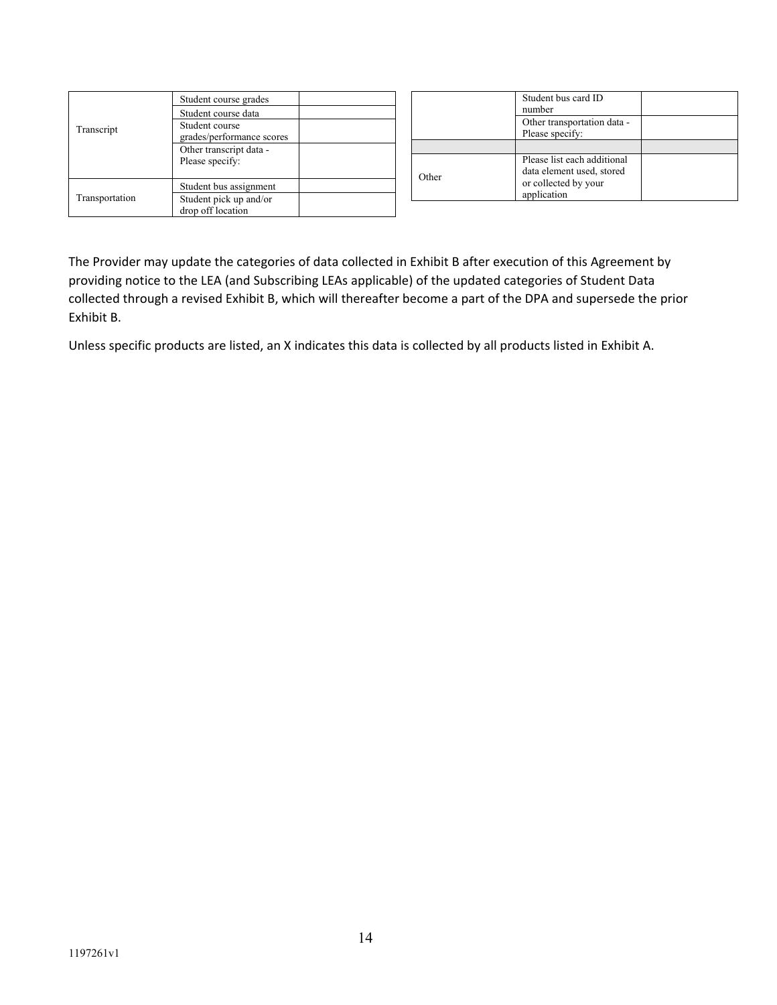| Transcript     | Student course grades     |
|----------------|---------------------------|
|                | Student course data       |
|                | Student course            |
|                | grades/performance scores |
|                | Other transcript data -   |
|                | Please specify:           |
|                |                           |
|                | Student bus assignment    |
| Transportation | Student pick up and/or    |
|                | drop off location         |

|       | Student bus card ID<br>number                                                                   |  |
|-------|-------------------------------------------------------------------------------------------------|--|
|       | Other transportation data -<br>Please specify:                                                  |  |
|       |                                                                                                 |  |
| Other | Please list each additional<br>data element used, stored<br>or collected by your<br>application |  |

The Provider may update the categories of data collected in Exhibit B after execution of this Agreement by providing notice to the LEA (and Subscribing LEAs applicable) of the updated categories of Student Data collected through a revised Exhibit B, which will thereafter become a part of the DPA and supersede the prior Exhibit B.

Unless specific products are listed, an X indicates this data is collected by all products listed in Exhibit A.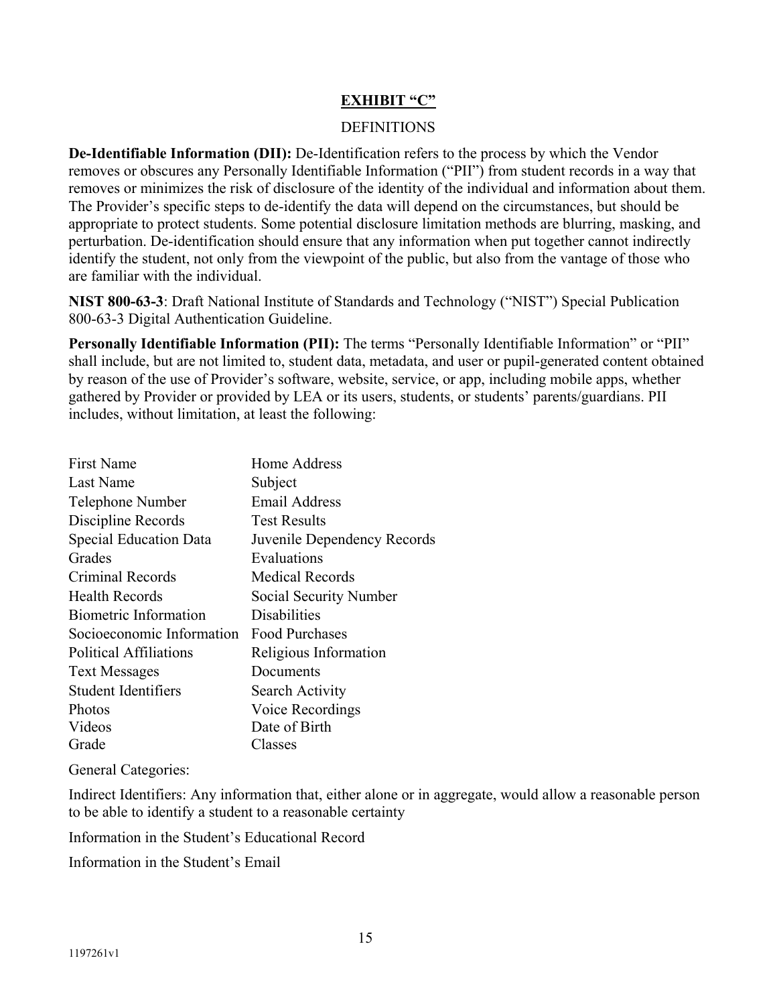#### **EXHIBIT "C"**

#### DEFINITIONS

**De-Identifiable Information (DII):** De-Identification refers to the process by which the Vendor removes or obscures any Personally Identifiable Information ("PII") from student records in a way that removes or minimizes the risk of disclosure of the identity of the individual and information about them. The Provider's specific steps to de-identify the data will depend on the circumstances, but should be appropriate to protect students. Some potential disclosure limitation methods are blurring, masking, and perturbation. De-identification should ensure that any information when put together cannot indirectly identify the student, not only from the viewpoint of the public, but also from the vantage of those who are familiar with the individual.

**NIST 800-63-3**: Draft National Institute of Standards and Technology ("NIST") Special Publication 800-63-3 Digital Authentication Guideline.

**Personally Identifiable Information (PII):** The terms "Personally Identifiable Information" or "PII" shall include, but are not limited to, student data, metadata, and user or pupil-generated content obtained by reason of the use of Provider's software, website, service, or app, including mobile apps, whether gathered by Provider or provided by LEA or its users, students, or students' parents/guardians. PII includes, without limitation, at least the following:

| <b>First Name</b>         | Home Address                |
|---------------------------|-----------------------------|
| Last Name                 | Subject                     |
| Telephone Number          | <b>Email Address</b>        |
| Discipline Records        | <b>Test Results</b>         |
| Special Education Data    | Juvenile Dependency Records |
| Grades                    | Evaluations                 |
| Criminal Records          | Medical Records             |
| <b>Health Records</b>     | Social Security Number      |
| Biometric Information     | Disabilities                |
| Socioeconomic Information | <b>Food Purchases</b>       |
| Political Affiliations    | Religious Information       |
| <b>Text Messages</b>      | Documents                   |
| Student Identifiers       | Search Activity             |
| Photos                    | Voice Recordings            |
| Videos                    | Date of Birth               |
| Grade                     | Classes                     |

General Categories:

Indirect Identifiers: Any information that, either alone or in aggregate, would allow a reasonable person to be able to identify a student to a reasonable certainty

Information in the Student's Educational Record

Information in the Student's Email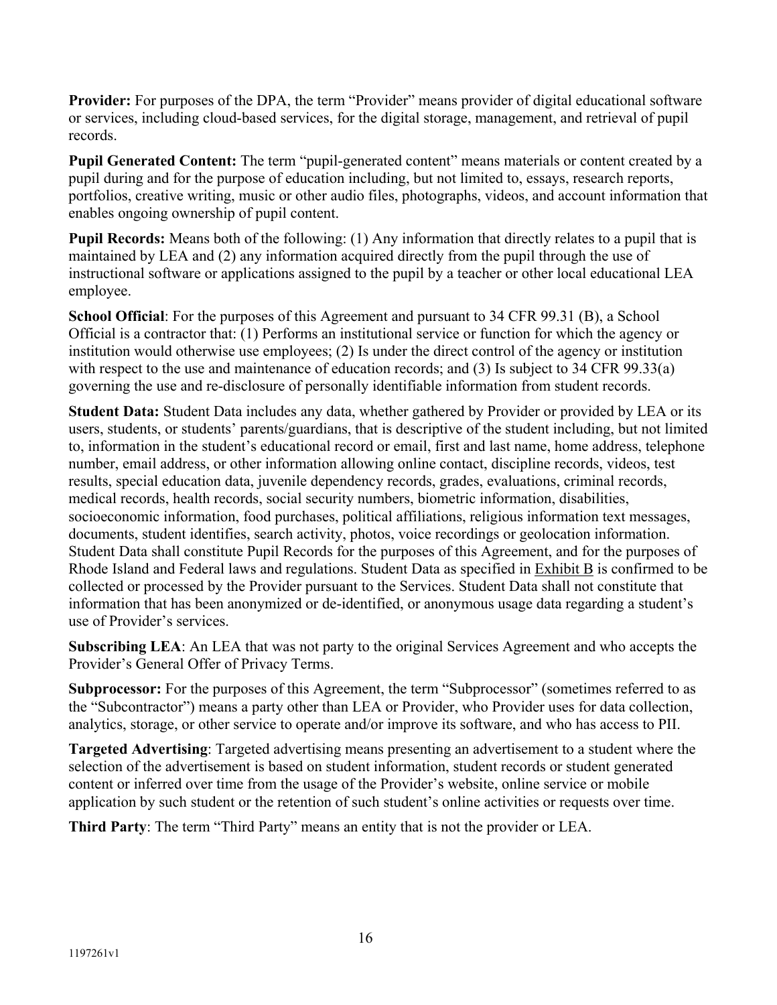**Provider:** For purposes of the DPA, the term "Provider" means provider of digital educational software or services, including cloud-based services, for the digital storage, management, and retrieval of pupil records.

**Pupil Generated Content:** The term "pupil-generated content" means materials or content created by a pupil during and for the purpose of education including, but not limited to, essays, research reports, portfolios, creative writing, music or other audio files, photographs, videos, and account information that enables ongoing ownership of pupil content.

**Pupil Records:** Means both of the following: (1) Any information that directly relates to a pupil that is maintained by LEA and (2) any information acquired directly from the pupil through the use of instructional software or applications assigned to the pupil by a teacher or other local educational LEA employee.

**School Official**: For the purposes of this Agreement and pursuant to 34 CFR 99.31 (B), a School Official is a contractor that: (1) Performs an institutional service or function for which the agency or institution would otherwise use employees; (2) Is under the direct control of the agency or institution with respect to the use and maintenance of education records; and (3) Is subject to 34 CFR 99.33(a) governing the use and re-disclosure of personally identifiable information from student records.

**Student Data:** Student Data includes any data, whether gathered by Provider or provided by LEA or its users, students, or students' parents/guardians, that is descriptive of the student including, but not limited to, information in the student's educational record or email, first and last name, home address, telephone number, email address, or other information allowing online contact, discipline records, videos, test results, special education data, juvenile dependency records, grades, evaluations, criminal records, medical records, health records, social security numbers, biometric information, disabilities, socioeconomic information, food purchases, political affiliations, religious information text messages, documents, student identifies, search activity, photos, voice recordings or geolocation information. Student Data shall constitute Pupil Records for the purposes of this Agreement, and for the purposes of Rhode Island and Federal laws and regulations. Student Data as specified in Exhibit B is confirmed to be collected or processed by the Provider pursuant to the Services. Student Data shall not constitute that information that has been anonymized or de-identified, or anonymous usage data regarding a student's use of Provider's services.

**Subscribing LEA**: An LEA that was not party to the original Services Agreement and who accepts the Provider's General Offer of Privacy Terms.

**Subprocessor:** For the purposes of this Agreement, the term "Subprocessor" (sometimes referred to as the "Subcontractor") means a party other than LEA or Provider, who Provider uses for data collection, analytics, storage, or other service to operate and/or improve its software, and who has access to PII.

**Targeted Advertising**: Targeted advertising means presenting an advertisement to a student where the selection of the advertisement is based on student information, student records or student generated content or inferred over time from the usage of the Provider's website, online service or mobile application by such student or the retention of such student's online activities or requests over time.

**Third Party**: The term "Third Party" means an entity that is not the provider or LEA.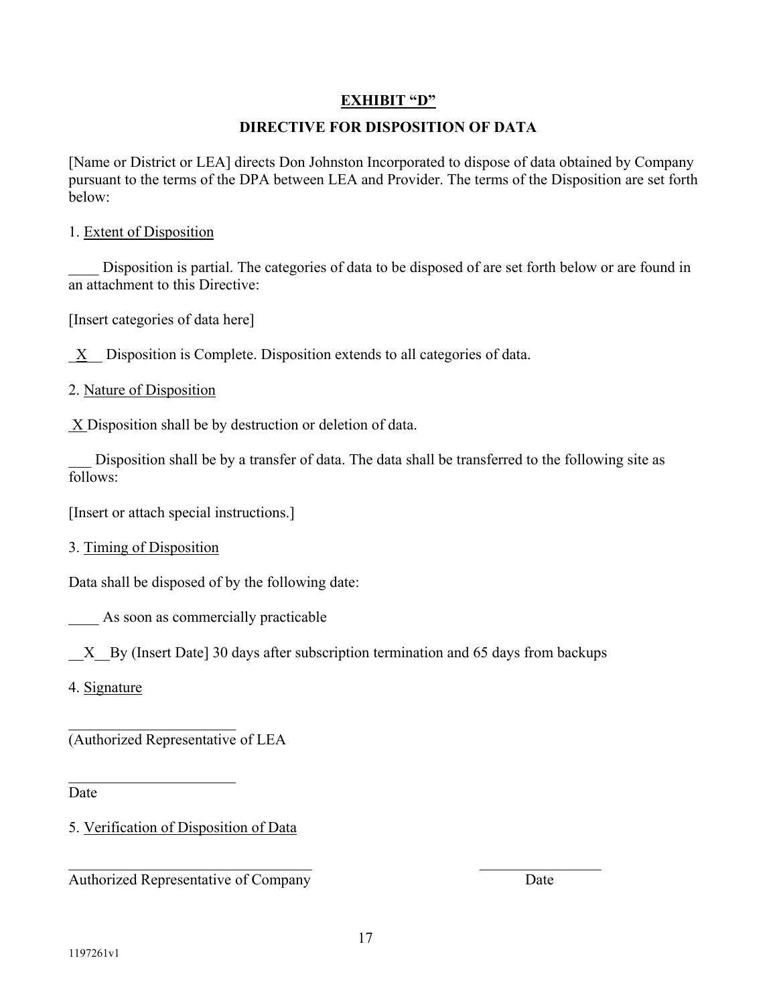# **EXHIBIT "D"**

# **DIRECTIVE FOR DISPOSITION OF DATA**

[Name or District or LEA] directs Don Johnston Incorporated to dispose of data obtained by Company pursuant to the terms of the DPA between LEA and Provider. The terms of the Disposition are set forth below:

### 1. Extent of Disposition

Disposition is partial. The categories of data to be disposed of are set forth below or are found in an attachment to this Directive:

[Insert categories of data here]

 $X$  Disposition is Complete. Disposition extends to all categories of data.

2. Nature of Disposition

 $X$  Disposition shall be by destruction or deletion of data.

Disposition shall be by a transfer of data. The data shall be transferred to the following site as follows:

[Insert or attach special instructions.]

3. Timing of Disposition

Data shall be disposed of by the following date:

As soon as commercially practicable

X By (Insert Date] 30 days after subscription termination and 65 days from backups

4. Signature

 $\overline{\phantom{a}}$  . The set of the set of the set of the set of the set of the set of the set of the set of the set of the set of the set of the set of the set of the set of the set of the set of the set of the set of the set o (Authorized Representative of LEA

Date

5. Verification of Disposition of Data

Authorized Representative of Company Date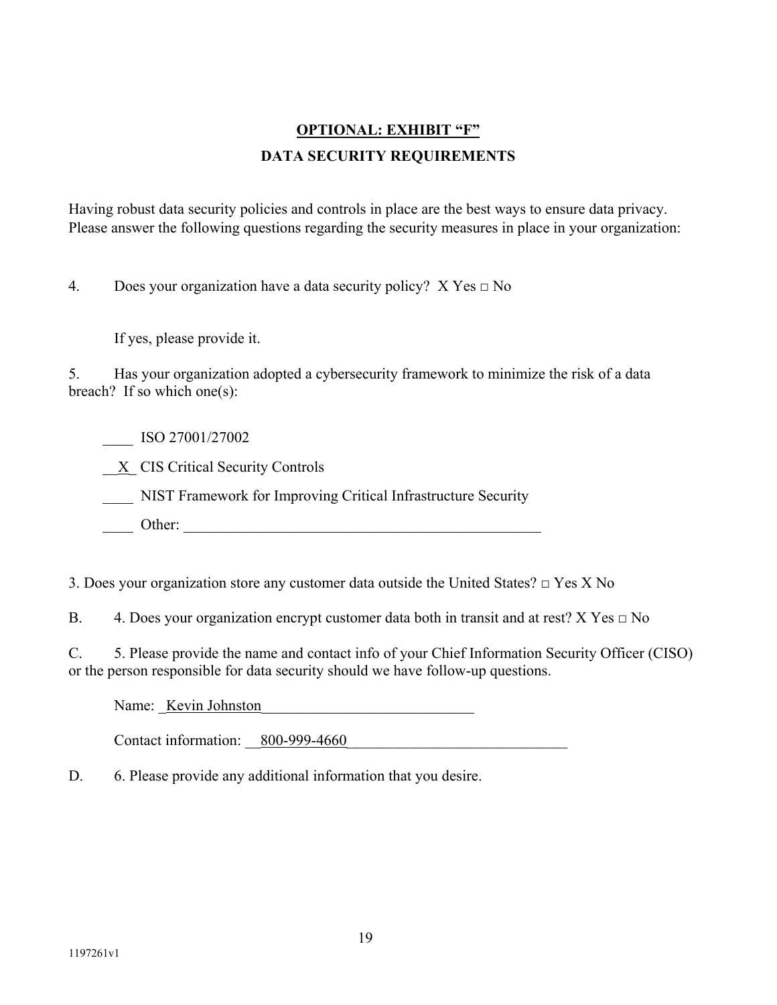# **OPTIONAL: EXHIBIT "F" DATA SECURITY REQUIREMENTS**

Having robust data security policies and controls in place are the best ways to ensure data privacy. Please answer the following questions regarding the security measures in place in your organization:

4. Does your organization have a data security policy?  $X$  Yes  $\Box$  No

If yes, please provide it.

5. Has your organization adopted a cybersecurity framework to minimize the risk of a data breach? If so which one(s):

\_\_\_\_ ISO 27001/27002

 $\underline{X}$  CIS Critical Security Controls

\_\_\_\_ NIST Framework for Improving Critical Infrastructure Security

Other:

3. Does your organization store any customer data outside the United States?  $\Box$  Yes X No

B. 4. Does your organization encrypt customer data both in transit and at rest? X Yes  $\Box$  No

C. 5. Please provide the name and contact info of your Chief Information Security Officer (CISO) or the person responsible for data security should we have follow-up questions.

Name: Kevin Johnston

Contact information:  $800-999-4660$ 

D. 6. Please provide any additional information that you desire.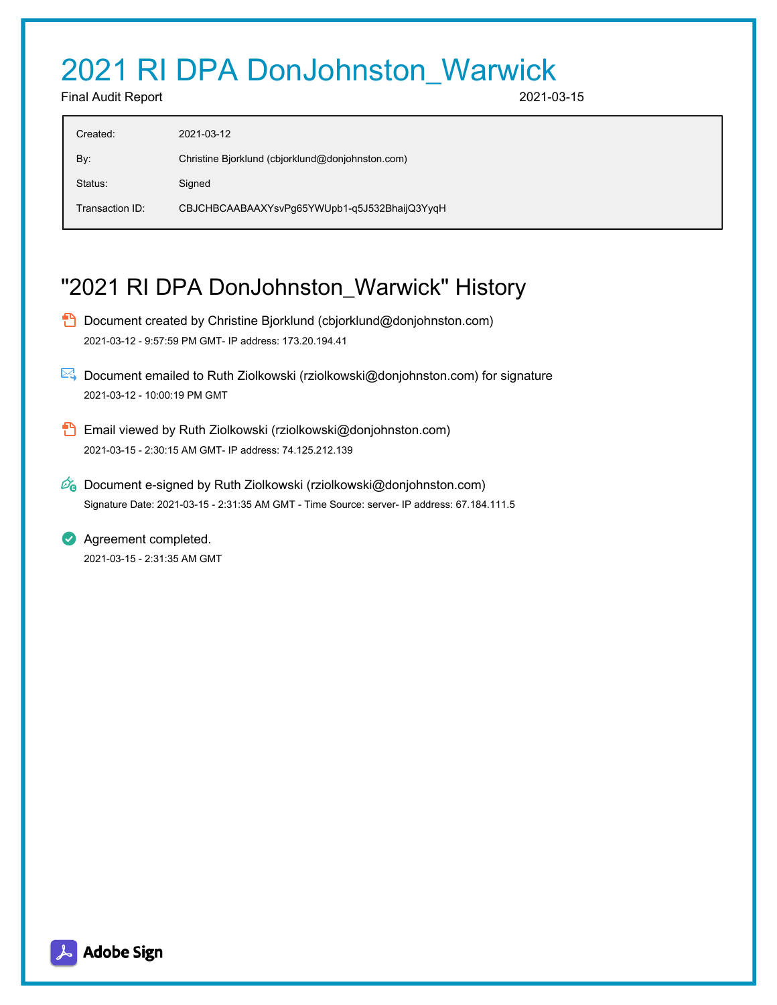# 2021 RI DPA DonJohnston\_Warwick

Final Audit Report 2021-03-15

| Created:        | 2021-03-12                                       |
|-----------------|--------------------------------------------------|
| By:             | Christine Bjorklund (cbjorklund@donjohnston.com) |
| Status:         | Signed                                           |
| Transaction ID: | CBJCHBCAABAAXYsvPg65YWUpb1-q5J532BhaijQ3YyqH     |

# "2021 RI DPA DonJohnston\_Warwick" History

- **D** Document created by Christine Bjorklund (cbjorklund@donjohnston.com) 2021-03-12 - 9:57:59 PM GMT- IP address: 173.20.194.41
- Document emailed to Ruth Ziolkowski (rziolkowski@donjohnston.com) for signature 2021-03-12 - 10:00:19 PM GMT
- **Email viewed by Ruth Ziolkowski (rziolkowski@donjohnston.com)** 2021-03-15 - 2:30:15 AM GMT- IP address: 74.125.212.139
- $\mathscr{O}_0$  Document e-signed by Ruth Ziolkowski (rziolkowski@donjohnston.com) Signature Date: 2021-03-15 - 2:31:35 AM GMT - Time Source: server- IP address: 67.184.111.5

**Agreement completed.** 2021-03-15 - 2:31:35 AM GMT